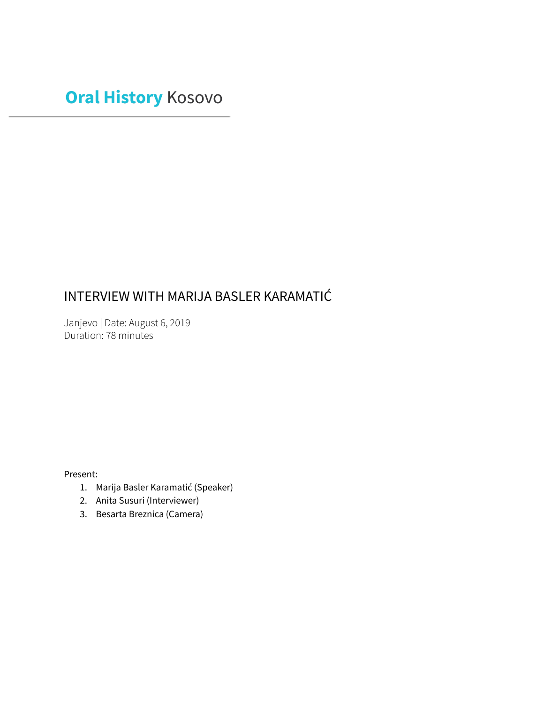# **Oral History Kosovo**

# INTERVIEW WITH MARIJA BASLER KARAMATIĆ

Janjevo | Date: August 6, 2019 Duration: 78 minutes

Present:

- 1. Marija Basler Karamatić (Speaker)
- 2. Anita Susuri (Interviewer)
- 3. Besarta Breznica (Camera)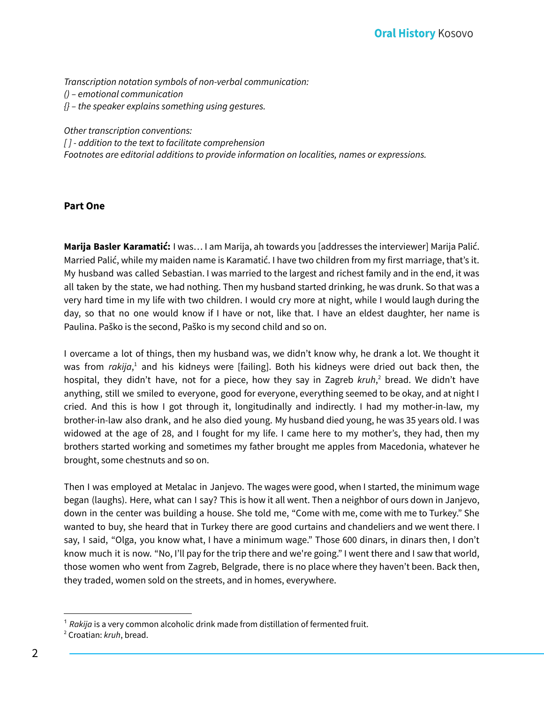*Transcription notation symbols of non-verbal communication: () – emotional communication {} – the speaker explains something using gestures.*

*Other transcription conventions:*

*[ ] - addition to the text to facilitate comprehension*

*Footnotes are editorial additions to provide information on localities, names or expressions.*

#### **Part One**

**Marija Basler Karamatić:** I was… I am Marija, ah towards you [addresses the interviewer] Marija Palić. Married Palić, while my maiden name is Karamatić. I have two children from my first marriage, that's it. My husband was called Sebastian. I was married to the largest and richest family and in the end, it was all taken by the state, we had nothing. Then my husband started drinking, he was drunk. So that was a very hard time in my life with two children. I would cry more at night, while I would laugh during the day, so that no one would know if I have or not, like that. I have an eldest daughter, her name is Paulina. Paško is the second, Paško is my second child and so on.

I overcame a lot of things, then my husband was, we didn't know why, he drank a lot. We thought it was from *rakija*,<sup>1</sup> and his kidneys were [failing]. Both his kidneys were dried out back then, the hospital, they didn't have, not for a piece, how they say in Zagreb *kruh*,<sup>2</sup> bread. We didn't have anything, still we smiled to everyone, good for everyone, everything seemed to be okay, and at night I cried. And this is how I got through it, longitudinally and indirectly. I had my mother-in-law, my brother-in-law also drank, and he also died young. My husband died young, he was 35 years old. I was widowed at the age of 28, and I fought for my life. I came here to my mother's, they had, then my brothers started working and sometimes my father brought me apples from Macedonia, whatever he brought, some chestnuts and so on.

Then I was employed at Metalac in Janjevo. The wages were good, when I started, the minimum wage began (laughs). Here, what can I say? This is how it all went. Then a neighbor of ours down in Janjevo, down in the center was building a house. She told me, "Come with me, come with me to Turkey." She wanted to buy, she heard that in Turkey there are good curtains and chandeliers and we went there. I say, I said, "Olga, you know what, I have a minimum wage." Those 600 dinars, in dinars then, I don't know much it is now. "No, I'll pay for the trip there and we're going." I went there and I saw that world, those women who went from Zagreb, Belgrade, there is no place where they haven't been. Back then, they traded, women sold on the streets, and in homes, everywhere.

<sup>&</sup>lt;sup>1</sup> Rakija is a very common alcoholic drink made from distillation of fermented fruit.

<sup>2</sup> Croatian: *kruh*, bread.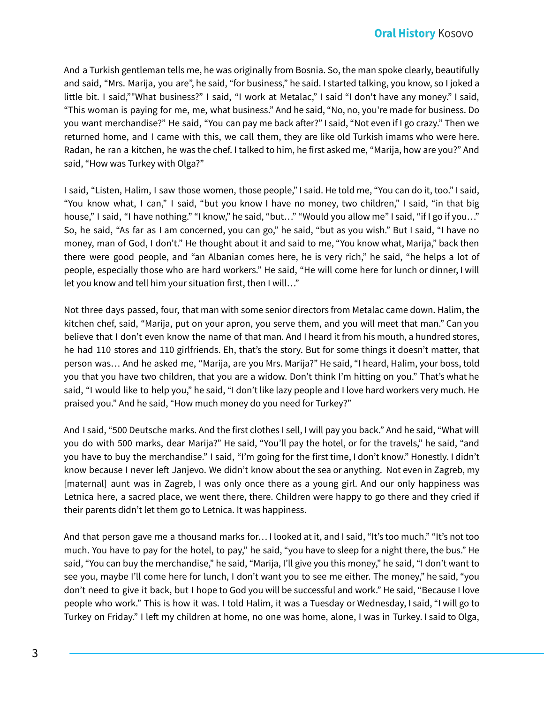And a Turkish gentleman tells me, he was originally from Bosnia. So, the man spoke clearly, beautifully and said, "Mrs. Marija, you are", he said, "for business," he said. I started talking, you know, so I joked a little bit. I said,""What business?" I said, "I work at Metalac," I said "I don't have any money." I said, "This woman is paying for me, me, what business." And he said, "No, no, you're made for business. Do you want merchandise?" He said, "You can pay me back after?" I said, "Not even if I go crazy." Then we returned home, and I came with this, we call them, they are like old Turkish imams who were here. Radan, he ran a kitchen, he was the chef. I talked to him, he first asked me, "Marija, how are you?" And said, "How was Turkey with Olga?"

I said, "Listen, Halim, I saw those women, those people," I said. He told me, "You can do it, too." I said, "You know what, I can," I said, "but you know I have no money, two children," I said, "in that big house," I said, "I have nothing." "I know," he said, "but..." "Would you allow me" I said, "if I go if you..." So, he said, "As far as I am concerned, you can go," he said, "but as you wish." But I said, "I have no money, man of God, I don't." He thought about it and said to me, "You know what, Marija," back then there were good people, and "an Albanian comes here, he is very rich," he said, "he helps a lot of people, especially those who are hard workers." He said, "He will come here for lunch or dinner, I will let you know and tell him your situation first, then I will…"

Not three days passed, four, that man with some senior directors from Metalac came down. Halim, the kitchen chef, said, "Marija, put on your apron, you serve them, and you will meet that man." Can you believe that I don't even know the name of that man. And I heard it from his mouth, a hundred stores, he had 110 stores and 110 girlfriends. Eh, that's the story. But for some things it doesn't matter, that person was… And he asked me, "Marija, are you Mrs. Marija?" He said, "I heard, Halim, your boss, told you that you have two children, that you are a widow. Don't think I'm hitting on you." That's what he said, "I would like to help you," he said, "I don't like lazy people and I love hard workers very much. He praised you." And he said, "How much money do you need for Turkey?"

And I said, "500 Deutsche marks. And the first clothes I sell, I will pay you back." And he said, "What will you do with 500 marks, dear Marija?" He said, "You'll pay the hotel, or for the travels," he said, "and you have to buy the merchandise." I said, "I'm going for the first time, I don't know." Honestly. I didn't know because I never left Janjevo. We didn't know about the sea or anything. Not even in Zagreb, my [maternal] aunt was in Zagreb, I was only once there as a young girl. And our only happiness was Letnica here, a sacred place, we went there, there. Children were happy to go there and they cried if their parents didn't let them go to Letnica. It was happiness.

And that person gave me a thousand marks for… I looked at it, and I said, "It's too much." "It's not too much. You have to pay for the hotel, to pay," he said, "you have to sleep for a night there, the bus." He said, "You can buy the merchandise," he said, "Marija, I'll give you this money," he said, "I don't want to see you, maybe I'll come here for lunch, I don't want you to see me either. The money," he said, "you don't need to give it back, but I hope to God you will be successful and work." He said, "Because I love people who work." This is how it was. I told Halim, it was a Tuesday or Wednesday, I said, "I will go to Turkey on Friday." I left my children at home, no one was home, alone, I was in Turkey. I said to Olga,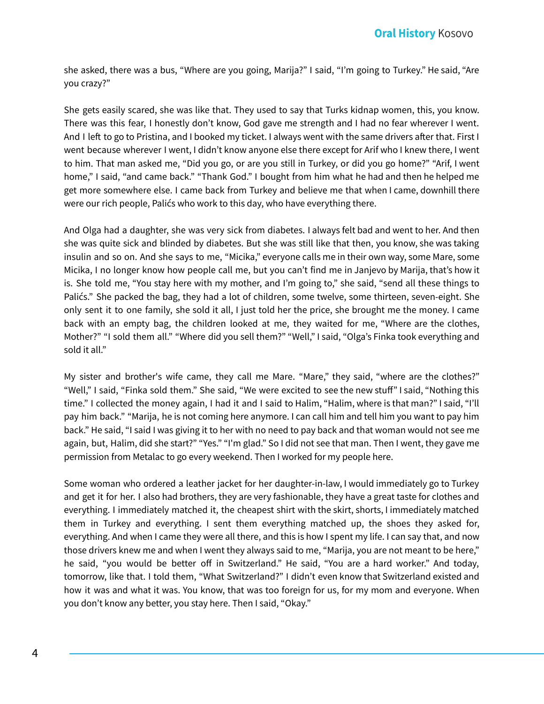she asked, there was a bus, "Where are you going, Marija?" I said, "I'm going to Turkey." He said, "Are you crazy?"

She gets easily scared, she was like that. They used to say that Turks kidnap women, this, you know. There was this fear, I honestly don't know, God gave me strength and I had no fear wherever I went. And I left to go to Pristina, and I booked my ticket. I always went with the same drivers after that. First I went because wherever I went, I didn't know anyone else there except for Arif who I knew there, I went to him. That man asked me, "Did you go, or are you still in Turkey, or did you go home?" "Arif, I went home," I said, "and came back." "Thank God." I bought from him what he had and then he helped me get more somewhere else. I came back from Turkey and believe me that when I came, downhill there were our rich people, Palićs who work to this day, who have everything there.

And Olga had a daughter, she was very sick from diabetes. I always felt bad and went to her. And then she was quite sick and blinded by diabetes. But she was still like that then, you know, she was taking insulin and so on. And she says to me, "Micika," everyone calls me in their own way, some Mare, some Micika, I no longer know how people call me, but you can't find me in Janjevo by Marija, that's how it is. She told me, "You stay here with my mother, and I'm going to," she said, "send all these things to Palićs." She packed the bag, they had a lot of children, some twelve, some thirteen, seven-eight. She only sent it to one family, she sold it all, I just told her the price, she brought me the money. I came back with an empty bag, the children looked at me, they waited for me, "Where are the clothes, Mother?" "I sold them all." "Where did you sell them?" "Well," I said, "Olga's Finka took everything and sold it all."

My sister and brother's wife came, they call me Mare. "Mare," they said, "where are the clothes?" "Well," I said, "Finka sold them." She said, "We were excited to see the new stuff" I said, "Nothing this time." I collected the money again, I had it and I said to Halim, "Halim, where is that man?" I said, "I'll pay him back." "Marija, he is not coming here anymore. I can call him and tell him you want to pay him back." He said, "I said I was giving it to her with no need to pay back and that woman would not see me again, but, Halim, did she start?" "Yes." "I'm glad." So I did not see that man. Then I went, they gave me permission from Metalac to go every weekend. Then I worked for my people here.

Some woman who ordered a leather jacket for her daughter-in-law, I would immediately go to Turkey and get it for her. I also had brothers, they are very fashionable, they have a great taste for clothes and everything. I immediately matched it, the cheapest shirt with the skirt, shorts, I immediately matched them in Turkey and everything. I sent them everything matched up, the shoes they asked for, everything. And when I came they were all there, and this is how I spent my life. I can say that, and now those drivers knew me and when I went they always said to me, "Marija, you are not meant to be here," he said, "you would be better off in Switzerland." He said, "You are a hard worker." And today, tomorrow, like that. I told them, "What Switzerland?" I didn't even know that Switzerland existed and how it was and what it was. You know, that was too foreign for us, for my mom and everyone. When you don't know any better, you stay here. Then I said, "Okay."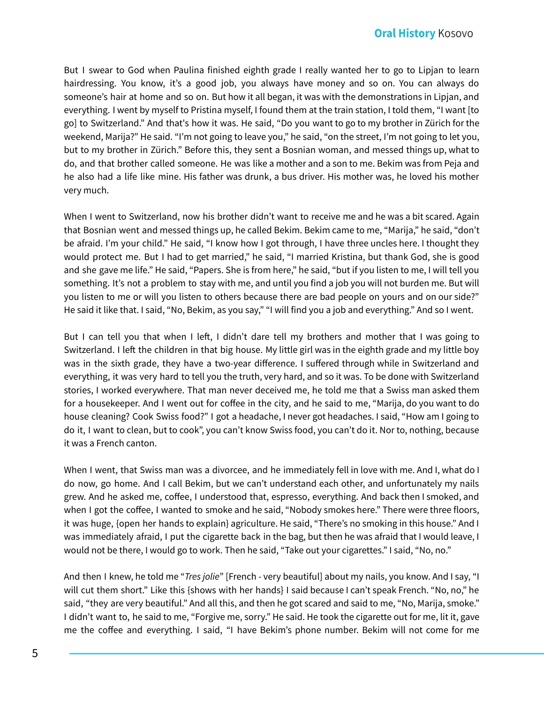But I swear to God when Paulina finished eighth grade I really wanted her to go to Lipjan to learn hairdressing. You know, it's a good job, you always have money and so on. You can always do someone's hair at home and so on. But how it all began, it was with the demonstrations in Lipjan, and everything. I went by myself to Pristina myself, I found them at the train station, I told them, "I want [to go] to Switzerland." And that's how it was. He said, "Do you want to go to my brother in Zürich for the weekend, Marija?" He said. "I'm not going to leave you," he said, "on the street, I'm not going to let you, but to my brother in Zürich." Before this, they sent a Bosnian woman, and messed things up, what to do, and that brother called someone. He was like a mother and a son to me. Bekim was from Peja and he also had a life like mine. His father was drunk, a bus driver. His mother was, he loved his mother very much.

When I went to Switzerland, now his brother didn't want to receive me and he was a bit scared. Again that Bosnian went and messed things up, he called Bekim. Bekim came to me, "Marija," he said, "don't be afraid. I'm your child." He said, "I know how I got through, I have three uncles here. I thought they would protect me. But I had to get married," he said, "I married Kristina, but thank God, she is good and she gave me life." He said, "Papers. She is from here," he said, "but if you listen to me, I will tell you something. It's not a problem to stay with me, and until you find a job you will not burden me. But will you listen to me or will you listen to others because there are bad people on yours and on our side?" He said it like that. I said, "No, Bekim, as you say," "I will find you a job and everything." And so I went.

But I can tell you that when I left, I didn't dare tell my brothers and mother that I was going to Switzerland. I left the children in that big house. My little girl was in the eighth grade and my little boy was in the sixth grade, they have a two-year difference. I suffered through while in Switzerland and everything, it was very hard to tell you the truth, very hard, and so it was. To be done with Switzerland stories, I worked everywhere. That man never deceived me, he told me that a Swiss man asked them for a housekeeper. And I went out for coffee in the city, and he said to me, "Marija, do you want to do house cleaning? Cook Swiss food?" I got a headache, I never got headaches. I said, "How am I going to do it, I want to clean, but to cook", you can't know Swiss food, you can't do it. Nor to, nothing, because it was a French canton.

When I went, that Swiss man was a divorcee, and he immediately fell in love with me. And I, what do I do now, go home. And I call Bekim, but we can't understand each other, and unfortunately my nails grew. And he asked me, coffee, I understood that, espresso, everything. And back then I smoked, and when I got the coffee, I wanted to smoke and he said, "Nobody smokes here." There were three floors, it was huge, {open her hands to explain} agriculture. He said, "There's no smoking in this house." And I was immediately afraid, I put the cigarette back in the bag, but then he was afraid that I would leave, I would not be there, I would go to work. Then he said, "Take out your cigarettes." I said, "No, no."

And then I knew, he told me "*Tres jolie*" [French - very beautiful] about my nails, you know. And I say, "I will cut them short." Like this {shows with her hands} I said because I can't speak French. "No, no," he said, "they are very beautiful." And all this, and then he got scared and said to me, "No, Marija, smoke." I didn't want to, he said to me, "Forgive me, sorry." He said. He took the cigarette out for me, lit it, gave me the coffee and everything. I said, "I have Bekim's phone number. Bekim will not come for me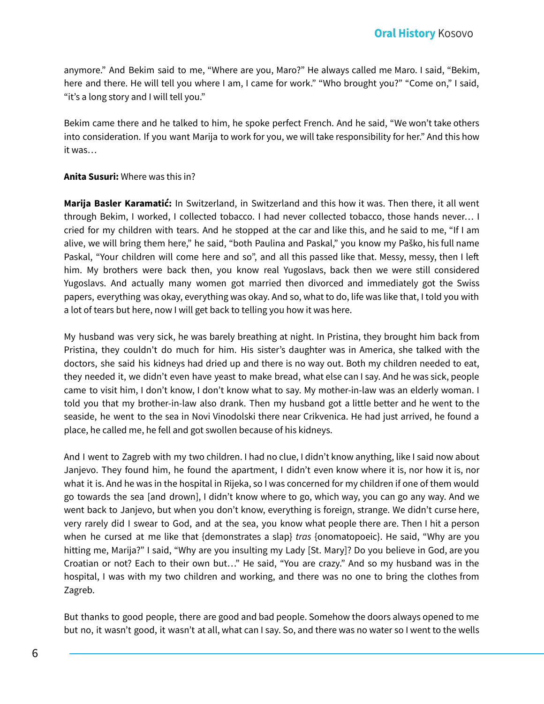anymore." And Bekim said to me, "Where are you, Maro?" He always called me Maro. I said, "Bekim, here and there. He will tell you where I am, I came for work." "Who brought you?" "Come on," I said, "it's a long story and I will tell you."

Bekim came there and he talked to him, he spoke perfect French. And he said, "We won't take others into consideration. If you want Marija to work for you, we will take responsibility for her." And this how it was…

#### **Anita Susuri:** Where was this in?

**Marija Basler Karamatić:** In Switzerland, in Switzerland and this how it was. Then there, it all went through Bekim, I worked, I collected tobacco. I had never collected tobacco, those hands never… I cried for my children with tears. And he stopped at the car and like this, and he said to me, "If I am alive, we will bring them here," he said, "both Paulina and Paskal," you know my Paško, his full name Paskal, "Your children will come here and so", and all this passed like that. Messy, messy, then I left him. My brothers were back then, you know real Yugoslavs, back then we were still considered Yugoslavs. And actually many women got married then divorced and immediately got the Swiss papers, everything was okay, everything was okay. And so, what to do, life was like that, I told you with a lot of tears but here, now I will get back to telling you how it was here.

My husband was very sick, he was barely breathing at night. In Pristina, they brought him back from Pristina, they couldn't do much for him. His sister's daughter was in America, she talked with the doctors, she said his kidneys had dried up and there is no way out. Both my children needed to eat, they needed it, we didn't even have yeast to make bread, what else can I say. And he was sick, people came to visit him, I don't know, I don't know what to say. My mother-in-law was an elderly woman. I told you that my brother-in-law also drank. Then my husband got a little better and he went to the seaside, he went to the sea in Novi Vinodolski there near Crikvenica. He had just arrived, he found a place, he called me, he fell and got swollen because of his kidneys.

And I went to Zagreb with my two children. I had no clue, I didn't know anything, like I said now about Janjevo. They found him, he found the apartment, I didn't even know where it is, nor how it is, nor what it is. And he was in the hospital in Rijeka, so I was concerned for my children if one of them would go towards the sea [and drown], I didn't know where to go, which way, you can go any way. And we went back to Janjevo, but when you don't know, everything is foreign, strange. We didn't curse here, very rarely did I swear to God, and at the sea, you know what people there are. Then I hit a person when he cursed at me like that {demonstrates a slap} *tras* {onomatopoeic}. He said, "Why are you hitting me, Marija?" I said, "Why are you insulting my Lady [St. Mary]? Do you believe in God, are you Croatian or not? Each to their own but…" He said, "You are crazy." And so my husband was in the hospital, I was with my two children and working, and there was no one to bring the clothes from Zagreb.

But thanks to good people, there are good and bad people. Somehow the doors always opened to me but no, it wasn't good, it wasn't at all, what can I say. So, and there was no water so I went to the wells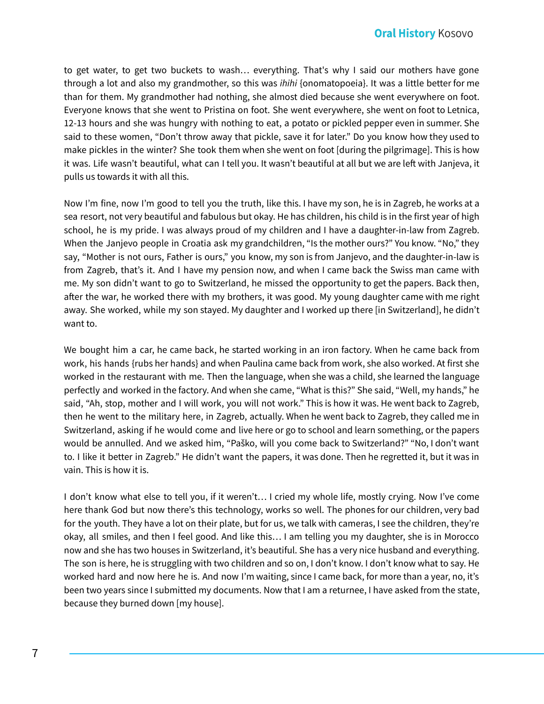to get water, to get two buckets to wash… everything. That's why I said our mothers have gone through a lot and also my grandmother, so this was *ihihi* {onomatopoeia}. It was a little better for me than for them. My grandmother had nothing, she almost died because she went everywhere on foot. Everyone knows that she went to Pristina on foot. She went everywhere, she went on foot to Letnica, 12-13 hours and she was hungry with nothing to eat, a potato or pickled pepper even in summer. She said to these women, "Don't throw away that pickle, save it for later." Do you know how they used to make pickles in the winter? She took them when she went on foot [during the pilgrimage]. This is how it was. Life wasn't beautiful, what can I tell you. It wasn't beautiful at all but we are left with Janjeva, it pulls us towards it with all this.

Now I'm fine, now I'm good to tell you the truth, like this. I have my son, he is in Zagreb, he works at a sea resort, not very beautiful and fabulous but okay. He has children, his child is in the first year of high school, he is my pride. I was always proud of my children and I have a daughter-in-law from Zagreb. When the Janjevo people in Croatia ask my grandchildren, "Is the mother ours?" You know. "No," they say, "Mother is not ours, Father is ours," you know, my son is from Janjevo, and the daughter-in-law is from Zagreb, that's it. And I have my pension now, and when I came back the Swiss man came with me. My son didn't want to go to Switzerland, he missed the opportunity to get the papers. Back then, after the war, he worked there with my brothers, it was good. My young daughter came with me right away. She worked, while my son stayed. My daughter and I worked up there [in Switzerland], he didn't want to.

We bought him a car, he came back, he started working in an iron factory. When he came back from work, his hands {rubs her hands} and when Paulina came back from work, she also worked. At first she worked in the restaurant with me. Then the language, when she was a child, she learned the language perfectly and worked in the factory. And when she came, "What is this?" She said, "Well, my hands," he said, "Ah, stop, mother and I will work, you will not work." This is how it was. He went back to Zagreb, then he went to the military here, in Zagreb, actually. When he went back to Zagreb, they called me in Switzerland, asking if he would come and live here or go to school and learn something, or the papers would be annulled. And we asked him, "Paško, will you come back to Switzerland?" "No, I don't want to. I like it better in Zagreb." He didn't want the papers, it was done. Then he regretted it, but it was in vain. This is how it is.

I don't know what else to tell you, if it weren't… I cried my whole life, mostly crying. Now I've come here thank God but now there's this technology, works so well. The phones for our children, very bad for the youth. They have a lot on their plate, but for us, we talk with cameras, I see the children, they're okay, all smiles, and then I feel good. And like this… I am telling you my daughter, she is in Morocco now and she has two houses in Switzerland, it's beautiful. She has a very nice husband and everything. The son is here, he is struggling with two children and so on, I don't know. I don't know what to say. He worked hard and now here he is. And now I'm waiting, since I came back, for more than a year, no, it's been two years since I submitted my documents. Now that I am a returnee, I have asked from the state, because they burned down [my house].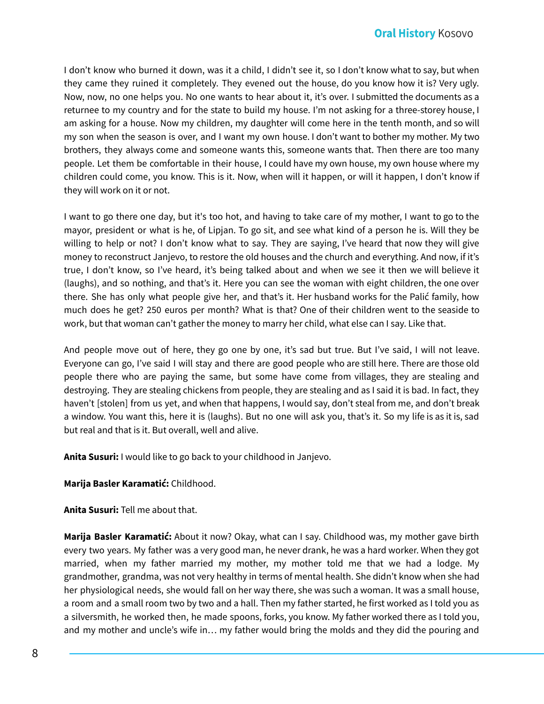I don't know who burned it down, was it a child, I didn't see it, so I don't know what to say, but when they came they ruined it completely. They evened out the house, do you know how it is? Very ugly. Now, now, no one helps you. No one wants to hear about it, it's over. I submitted the documents as a returnee to my country and for the state to build my house. I'm not asking for a three-storey house, I am asking for a house. Now my children, my daughter will come here in the tenth month, and so will my son when the season is over, and I want my own house. I don't want to bother my mother. My two brothers, they always come and someone wants this, someone wants that. Then there are too many people. Let them be comfortable in their house, I could have my own house, my own house where my children could come, you know. This is it. Now, when will it happen, or will it happen, I don't know if they will work on it or not.

I want to go there one day, but it's too hot, and having to take care of my mother, I want to go to the mayor, president or what is he, of Lipjan. To go sit, and see what kind of a person he is. Will they be willing to help or not? I don't know what to say. They are saying, I've heard that now they will give money to reconstruct Janjevo, to restore the old houses and the church and everything. And now, if it's true, I don't know, so I've heard, it's being talked about and when we see it then we will believe it (laughs), and so nothing, and that's it. Here you can see the woman with eight children, the one over there. She has only what people give her, and that's it. Her husband works for the Palić family, how much does he get? 250 euros per month? What is that? One of their children went to the seaside to work, but that woman can't gather the money to marry her child, what else can I say. Like that.

And people move out of here, they go one by one, it's sad but true. But I've said, I will not leave. Everyone can go, I've said I will stay and there are good people who are still here. There are those old people there who are paying the same, but some have come from villages, they are stealing and destroying. They are stealing chickens from people, they are stealing and as I said it is bad. In fact, they haven't [stolen] from us yet, and when that happens, I would say, don't steal from me, and don't break a window. You want this, here it is (laughs). But no one will ask you, that's it. So my life is as it is, sad but real and that is it. But overall, well and alive.

**Anita Susuri:** I would like to go back to your childhood in Janjevo.

# **Marija Basler Karamatić:** Childhood.

**Anita Susuri:** Tell me about that.

**Marija Basler Karamatić:** About it now? Okay, what can I say. Childhood was, my mother gave birth every two years. My father was a very good man, he never drank, he was a hard worker. When they got married, when my father married my mother, my mother told me that we had a lodge. My grandmother, grandma, was not very healthy in terms of mental health. She didn't know when she had her physiological needs, she would fall on her way there, she was such a woman. It was a small house, a room and a small room two by two and a hall. Then my father started, he first worked as I told you as a silversmith, he worked then, he made spoons, forks, you know. My father worked there as I told you, and my mother and uncle's wife in… my father would bring the molds and they did the pouring and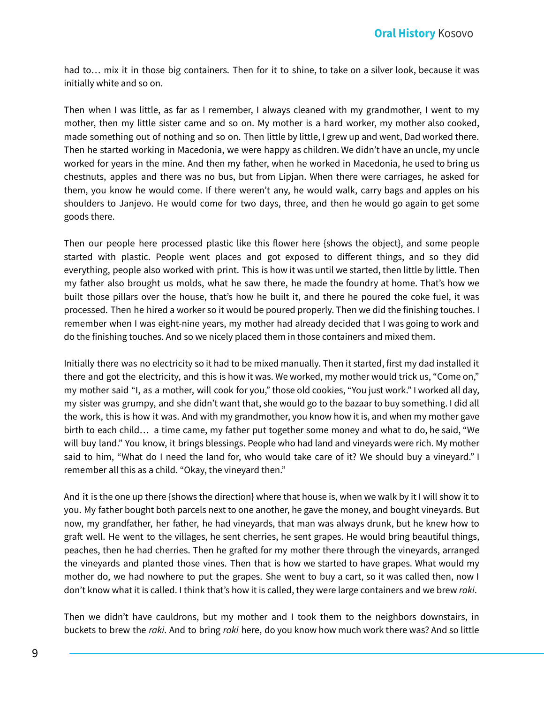had to… mix it in those big containers. Then for it to shine, to take on a silver look, because it was initially white and so on.

Then when I was little, as far as I remember, I always cleaned with my grandmother, I went to my mother, then my little sister came and so on. My mother is a hard worker, my mother also cooked, made something out of nothing and so on. Then little by little, I grew up and went, Dad worked there. Then he started working in Macedonia, we were happy as children. We didn't have an uncle, my uncle worked for years in the mine. And then my father, when he worked in Macedonia, he used to bring us chestnuts, apples and there was no bus, but from Lipjan. When there were carriages, he asked for them, you know he would come. If there weren't any, he would walk, carry bags and apples on his shoulders to Janjevo. He would come for two days, three, and then he would go again to get some goods there.

Then our people here processed plastic like this flower here {shows the object}, and some people started with plastic. People went places and got exposed to different things, and so they did everything, people also worked with print. This is how it was until we started, then little by little. Then my father also brought us molds, what he saw there, he made the foundry at home. That's how we built those pillars over the house, that's how he built it, and there he poured the coke fuel, it was processed. Then he hired a worker so it would be poured properly. Then we did the finishing touches. I remember when I was eight-nine years, my mother had already decided that I was going to work and do the finishing touches. And so we nicely placed them in those containers and mixed them.

Initially there was no electricity so it had to be mixed manually. Then it started, first my dad installed it there and got the electricity, and this is how it was. We worked, my mother would trick us, "Come on," my mother said "I, as a mother, will cook for you," those old cookies, "You just work." I worked all day, my sister was grumpy, and she didn't want that, she would go to the bazaar to buy something. I did all the work, this is how it was. And with my grandmother, you know how it is, and when my mother gave birth to each child… a time came, my father put together some money and what to do, he said, "We will buy land." You know, it brings blessings. People who had land and vineyards were rich. My mother said to him, "What do I need the land for, who would take care of it? We should buy a vineyard." I remember all this as a child. "Okay, the vineyard then."

And it is the one up there {shows the direction} where that house is, when we walk by it I will show it to you. My father bought both parcels next to one another, he gave the money, and bought vineyards. But now, my grandfather, her father, he had vineyards, that man was always drunk, but he knew how to graft well. He went to the villages, he sent cherries, he sent grapes. He would bring beautiful things, peaches, then he had cherries. Then he grafted for my mother there through the vineyards, arranged the vineyards and planted those vines. Then that is how we started to have grapes. What would my mother do, we had nowhere to put the grapes. She went to buy a cart, so it was called then, now I don't know what it is called. I think that's how it is called, they were large containers and we brew *raki*.

Then we didn't have cauldrons, but my mother and I took them to the neighbors downstairs, in buckets to brew the *raki*. And to bring *raki* here, do you know how much work there was? And so little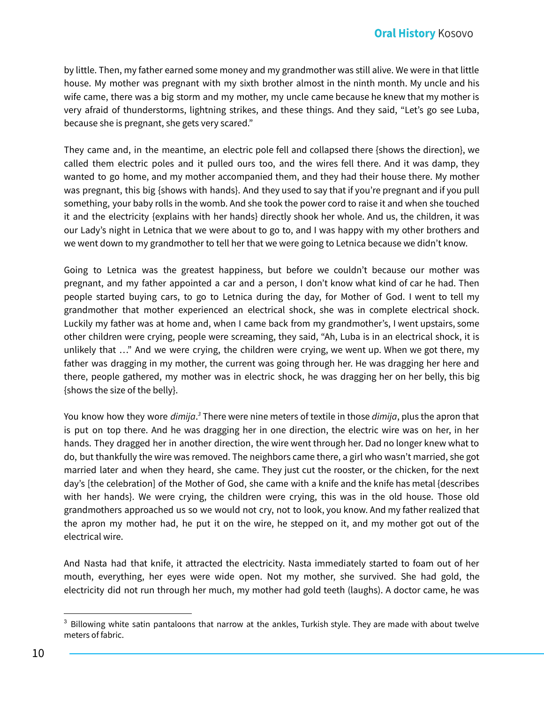by little. Then, my father earned some money and my grandmother was still alive. We were in that little house. My mother was pregnant with my sixth brother almost in the ninth month. My uncle and his wife came, there was a big storm and my mother, my uncle came because he knew that my mother is very afraid of thunderstorms, lightning strikes, and these things. And they said, "Let's go see Luba, because she is pregnant, she gets very scared."

They came and, in the meantime, an electric pole fell and collapsed there {shows the direction}, we called them electric poles and it pulled ours too, and the wires fell there. And it was damp, they wanted to go home, and my mother accompanied them, and they had their house there. My mother was pregnant, this big {shows with hands}. And they used to say that if you're pregnant and if you pull something, your baby rolls in the womb. And she took the power cord to raise it and when she touched it and the electricity {explains with her hands} directly shook her whole. And us, the children, it was our Lady's night in Letnica that we were about to go to, and I was happy with my other brothers and we went down to my grandmother to tell her that we were going to Letnica because we didn't know.

Going to Letnica was the greatest happiness, but before we couldn't because our mother was pregnant, and my father appointed a car and a person, I don't know what kind of car he had. Then people started buying cars, to go to Letnica during the day, for Mother of God. I went to tell my grandmother that mother experienced an electrical shock, she was in complete electrical shock. Luckily my father was at home and, when I came back from my grandmother's, I went upstairs, some other children were crying, people were screaming, they said, "Ah, Luba is in an electrical shock, it is unlikely that …" And we were crying, the children were crying, we went up. When we got there, my father was dragging in my mother, the current was going through her. He was dragging her here and there, people gathered, my mother was in electric shock, he was dragging her on her belly, this big {shows the size of the belly}.

You know how they wore *dimija*.<sup>3</sup> There were nine meters of textile in those *dimija*, plus the apron that is put on top there. And he was dragging her in one direction, the electric wire was on her, in her hands. They dragged her in another direction, the wire went through her. Dad no longer knew what to do, but thankfully the wire was removed. The neighbors came there, a girl who wasn't married, she got married later and when they heard, she came. They just cut the rooster, or the chicken, for the next day's [the celebration] of the Mother of God, she came with a knife and the knife has metal {describes with her hands}. We were crying, the children were crying, this was in the old house. Those old grandmothers approached us so we would not cry, not to look, you know. And my father realized that the apron my mother had, he put it on the wire, he stepped on it, and my mother got out of the electrical wire.

And Nasta had that knife, it attracted the electricity. Nasta immediately started to foam out of her mouth, everything, her eyes were wide open. Not my mother, she survived. She had gold, the electricity did not run through her much, my mother had gold teeth (laughs). A doctor came, he was

<sup>&</sup>lt;sup>3</sup> Billowing white satin pantaloons that narrow at the ankles, Turkish style. They are made with about twelve meters of fabric.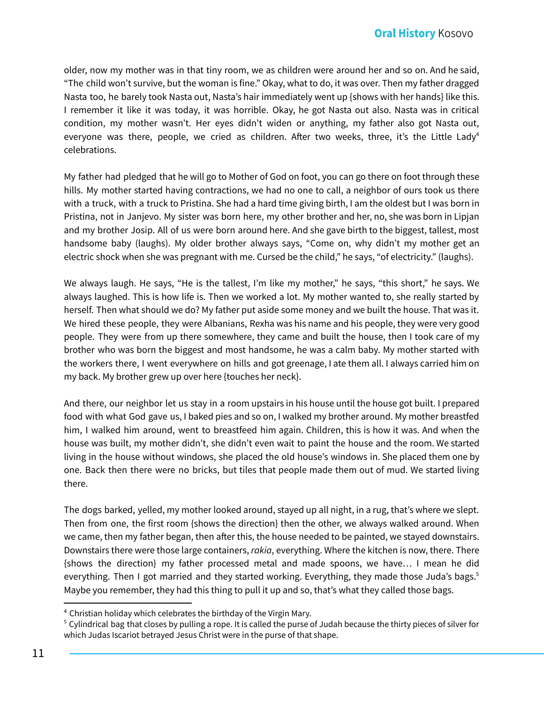older, now my mother was in that tiny room, we as children were around her and so on. And he said, "The child won't survive, but the woman is fine." Okay, what to do, it was over. Then my father dragged Nasta too, he barely took Nasta out, Nasta's hair immediately went up {shows with her hands} like this. I remember it like it was today, it was horrible. Okay, he got Nasta out also. Nasta was in critical condition, my mother wasn't. Her eyes didn't widen or anything, my father also got Nasta out, everyone was there, people, we cried as children. After two weeks, three, it's the Little Lady<sup>4</sup> celebrations.

My father had pledged that he will go to Mother of God on foot, you can go there on foot through these hills. My mother started having contractions, we had no one to call, a neighbor of ours took us there with a truck, with a truck to Pristina. She had a hard time giving birth, I am the oldest but I was born in Pristina, not in Janjevo. My sister was born here, my other brother and her, no, she was born in Lipjan and my brother Josip. All of us were born around here. And she gave birth to the biggest, tallest, most handsome baby (laughs). My older brother always says, "Come on, why didn't my mother get an electric shock when she was pregnant with me. Cursed be the child," he says, "of electricity." (laughs).

We always laugh. He says, "He is the tallest, I'm like my mother," he says, "this short," he says. We always laughed. This is how life is. Then we worked a lot. My mother wanted to, she really started by herself. Then what should we do? My father put aside some money and we built the house. That was it. We hired these people, they were Albanians, Rexha was his name and his people, they were very good people. They were from up there somewhere, they came and built the house, then I took care of my brother who was born the biggest and most handsome, he was a calm baby. My mother started with the workers there, I went everywhere on hills and got greenage, I ate them all. I always carried him on my back. My brother grew up over here {touches her neck}.

And there, our neighbor let us stay in a room upstairs in his house until the house got built. I prepared food with what God gave us, I baked pies and so on, I walked my brother around. My mother breastfed him, I walked him around, went to breastfeed him again. Children, this is how it was. And when the house was built, my mother didn't, she didn't even wait to paint the house and the room. We started living in the house without windows, she placed the old house's windows in. She placed them one by one. Back then there were no bricks, but tiles that people made them out of mud. We started living there.

The dogs barked, yelled, my mother looked around, stayed up all night, in a rug, that's where we slept. Then from one, the first room {shows the direction} then the other, we always walked around. When we came, then my father began, then after this, the house needed to be painted, we stayed downstairs. Downstairs there were those large containers, *rakia*, everything. Where the kitchen is now, there. There {shows the direction} my father processed metal and made spoons, we have… I mean he did everything. Then I got married and they started working. Everything, they made those Juda's bags.<sup>5</sup> Maybe you remember, they had this thing to pull it up and so, that's what they called those bags.

<sup>4</sup> Christian holiday which celebrates the birthday of the Virgin Mary.

 $5$  Cylindrical bag that closes by pulling a rope. It is called the purse of Judah because the thirty pieces of silver for which Judas Iscariot betrayed Jesus Christ were in the purse of that shape.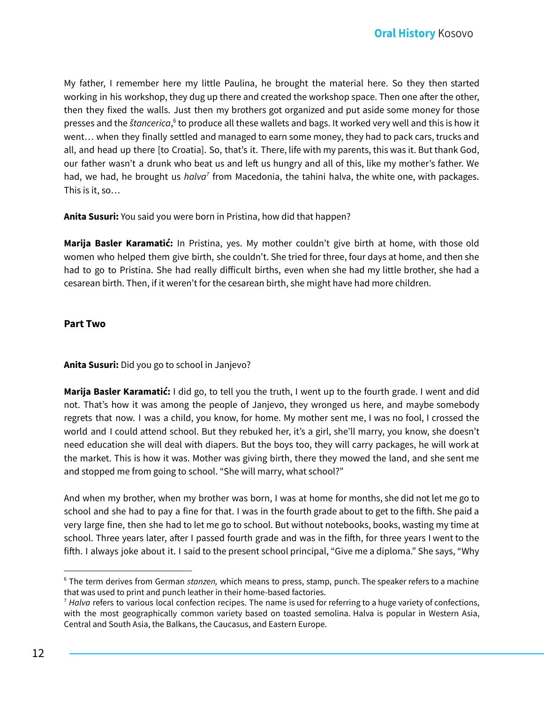My father, I remember here my little Paulina, he brought the material here. So they then started working in his workshop, they dug up there and created the workshop space. Then one after the other, then they fixed the walls. Just then my brothers got organized and put aside some money for those presses and the *štancerica*,<sup>6</sup> to produce all these wallets and bags. It worked very well and this is how it went… when they finally settled and managed to earn some money, they had to pack cars, trucks and all, and head up there [to Croatia]. So, that's it. There, life with my parents, this was it. But thank God, our father wasn't a drunk who beat us and left us hungry and all of this, like my mother's father. We had, we had, he brought us *halva<sup>7</sup>* from Macedonia, the tahini halva, the white one, with packages. This is it, so…

**Anita Susuri:** You said you were born in Pristina, how did that happen?

**Marija Basler Karamatić:** In Pristina, yes. My mother couldn't give birth at home, with those old women who helped them give birth, she couldn't. She tried for three, four days at home, and then she had to go to Pristina. She had really difficult births, even when she had my little brother, she had a cesarean birth. Then, if it weren't for the cesarean birth, she might have had more children.

#### **Part Two**

**Anita Susuri:** Did you go to school in Janjevo?

**Marija Basler Karamatić:** I did go, to tell you the truth, I went up to the fourth grade. I went and did not. That's how it was among the people of Janjevo, they wronged us here, and maybe somebody regrets that now. I was a child, you know, for home. My mother sent me, I was no fool, I crossed the world and I could attend school. But they rebuked her, it's a girl, she'll marry, you know, she doesn't need education she will deal with diapers. But the boys too, they will carry packages, he will work at the market. This is how it was. Mother was giving birth, there they mowed the land, and she sent me and stopped me from going to school. "She will marry, what school?"

And when my brother, when my brother was born, I was at home for months, she did not let me go to school and she had to pay a fine for that. I was in the fourth grade about to get to the fifth. She paid a very large fine, then she had to let me go to school. But without notebooks, books, wasting my time at school. Three years later, after I passed fourth grade and was in the fifth, for three years I went to the fifth. I always joke about it. I said to the present school principal, "Give me a diploma." She says, "Why

<sup>6</sup> The term derives from German *stanzen,* which means to press, stamp, punch. The speaker refers to a machine that was used to print and punch leather in their home-based factories.

<sup>7</sup> *Halva* refers to various local confection recipes. The name is used for referring to a huge variety of confections, with the most geographically common variety based on toasted semolina. Halva is popular in Western Asia, Central and South Asia, the Balkans, the Caucasus, and Eastern Europe.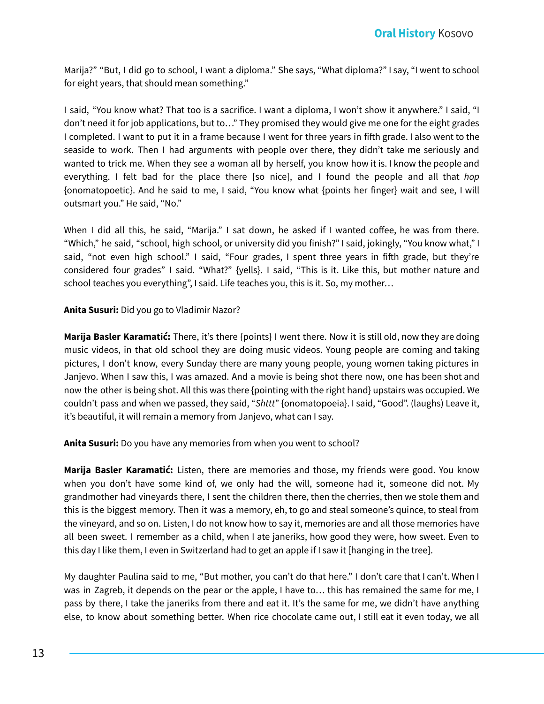Marija?" "But, I did go to school, I want a diploma." She says, "What diploma?" I say, "I went to school for eight years, that should mean something."

I said, "You know what? That too is a sacrifice. I want a diploma, I won't show it anywhere." I said, "I don't need it for job applications, but to…" They promised they would give me one for the eight grades I completed. I want to put it in a frame because I went for three years in fifth grade. I also went to the seaside to work. Then I had arguments with people over there, they didn't take me seriously and wanted to trick me. When they see a woman all by herself, you know how it is. I know the people and everything. I felt bad for the place there [so nice], and I found the people and all that *hop* {onomatopoetic}. And he said to me, I said, "You know what {points her finger} wait and see, I will outsmart you." He said, "No."

When I did all this, he said, "Marija." I sat down, he asked if I wanted coffee, he was from there. "Which," he said, "school, high school, or university did you finish?" I said, jokingly, "You know what," I said, "not even high school." I said, "Four grades, I spent three years in fifth grade, but they're considered four grades" I said. "What?" {yells}. I said, "This is it. Like this, but mother nature and school teaches you everything", I said. Life teaches you, this is it. So, my mother...

## **Anita Susuri:** Did you go to Vladimir Nazor?

**Marija Basler Karamatić:** There, it's there {points} I went there. Now it is still old, now they are doing music videos, in that old school they are doing music videos. Young people are coming and taking pictures, I don't know, every Sunday there are many young people, young women taking pictures in Janjevo. When I saw this, I was amazed. And a movie is being shot there now, one has been shot and now the other is being shot. All this was there {pointing with the right hand} upstairs was occupied. We couldn't pass and when we passed, they said, "*Shttt*" {onomatopoeia}. I said, "Good". (laughs) Leave it, it's beautiful, it will remain a memory from Janjevo, what can I say.

**Anita Susuri:** Do you have any memories from when you went to school?

**Marija Basler Karamatić:** Listen, there are memories and those, my friends were good. You know when you don't have some kind of, we only had the will, someone had it, someone did not. My grandmother had vineyards there, I sent the children there, then the cherries, then we stole them and this is the biggest memory. Then it was a memory, eh, to go and steal someone's quince, to steal from the vineyard, and so on. Listen, I do not know how to say it, memories are and all those memories have all been sweet. I remember as a child, when I ate janeriks, how good they were, how sweet. Even to this day I like them, I even in Switzerland had to get an apple if I saw it [hanging in the tree].

My daughter Paulina said to me, "But mother, you can't do that here." I don't care that I can't. When I was in Zagreb, it depends on the pear or the apple, I have to… this has remained the same for me, I pass by there, I take the janeriks from there and eat it. It's the same for me, we didn't have anything else, to know about something better. When rice chocolate came out, I still eat it even today, we all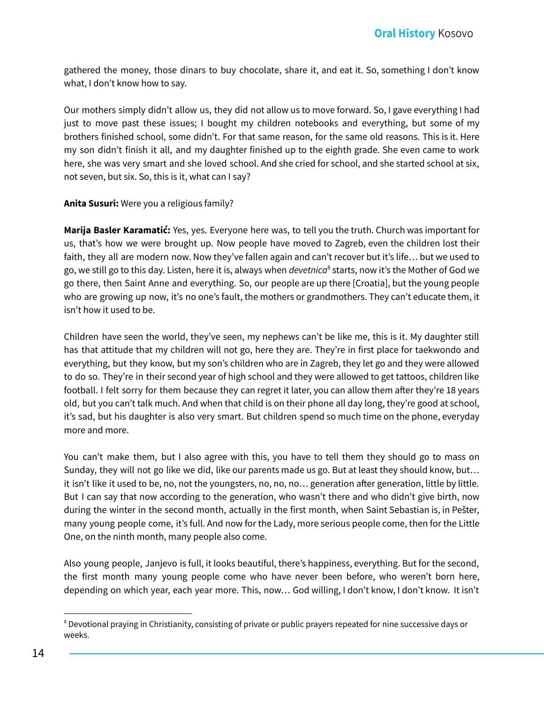gathered the money, those dinars to buy chocolate, share it, and eat it. So, something I don't know what, I don't know how to say.

Our mothers simply didn't allow us, they did not allow us to move forward. So, I gave everything I had just to move past these issues; I bought my children notebooks and everything, but some of my brothers finished school, some didn't. For that same reason, for the same old reasons. This is it. Here my son didn't finish it all, and my daughter finished up to the eighth grade. She even came to work here, she was very smart and she loved school. And she cried for school, and she started school at six, not seven, but six. So, this is it, what can I say?

#### **Anita Susuri:** Were you a religious family?

**Marija Basler Karamatić:** Yes, yes. Everyone here was, to tell you the truth. Church was important for us, that's how we were brought up. Now people have moved to Zagreb, even the children lost their faith, they all are modern now. Now they've fallen again and can't recover but it's life… but we used to go, we still go to this day. Listen, here it is, always when *devetnica<sup>s</sup>* starts, now it's the Mother of God we go there, then Saint Anne and everything. So, our people are up there [Croatia], but the young people who are growing up now, it's no one's fault, the mothers or grandmothers. They can't educate them, it isn't how it used to be.

Children have seen the world, they've seen, my nephews can't be like me, this is it. My daughter still has that attitude that my children will not go, here they are. They're in first place for taekwondo and everything, but they know, but my son's children who are in Zagreb, they let go and they were allowed to do so. They're in their second year of high school and they were allowed to get tattoos, children like football. I felt sorry for them because they can regret it later, you can allow them after they're 18 years old, but you can't talk much. And when that child is on their phone all day long, they're good at school, it's sad, but his daughter is also very smart. But children spend so much time on the phone, everyday more and more.

You can't make them, but I also agree with this, you have to tell them they should go to mass on Sunday, they will not go like we did, like our parents made us go. But at least they should know, but… it isn't like it used to be, no, not the youngsters, no, no, no… generation after generation, little by little. But I can say that now according to the generation, who wasn't there and who didn't give birth, now during the winter in the second month, actually in the first month, when Saint Sebastian is, in Pešter, many young people come, it's full. And now for the Lady, more serious people come, then for the Little One, on the ninth month, many people also come.

Also young people, Janjevo is full, it looks beautiful, there's happiness, everything. But for the second, the first month many young people come who have never been before, who weren't born here, depending on which year, each year more. This, now… God willing, I don't know, I don't know. It isn't

<sup>&</sup>lt;sup>8</sup> Devotional praying in Christianity, consisting of private or public prayers repeated for nine successive days or weeks.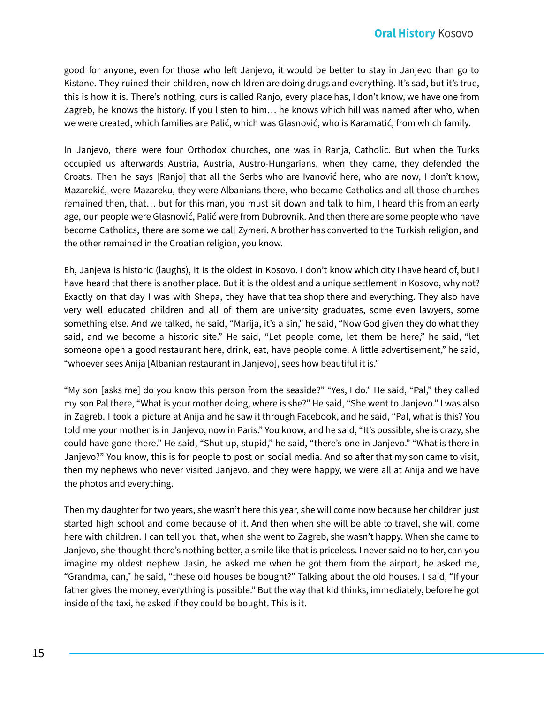good for anyone, even for those who left Janjevo, it would be better to stay in Janjevo than go to Kistane. They ruined their children, now children are doing drugs and everything. It's sad, but it's true, this is how it is. There's nothing, ours is called Ranjo, every place has, I don't know, we have one from Zagreb, he knows the history. If you listen to him… he knows which hill was named after who, when we were created, which families are Palić, which was Glasnović, who is Karamatić, from which family.

In Janjevo, there were four Orthodox churches, one was in Ranja, Catholic. But when the Turks occupied us afterwards Austria, Austria, Austro-Hungarians, when they came, they defended the Croats. Then he says [Ranjo] that all the Serbs who are Ivanović here, who are now, I don't know, Mazarekić, were Mazareku, they were Albanians there, who became Catholics and all those churches remained then, that… but for this man, you must sit down and talk to him, I heard this from an early age, our people were Glasnović, Palić were from Dubrovnik. And then there are some people who have become Catholics, there are some we call Zymeri. A brother has converted to the Turkish religion, and the other remained in the Croatian religion, you know.

Eh, Janjeva is historic (laughs), it is the oldest in Kosovo. I don't know which city I have heard of, but I have heard that there is another place. But it is the oldest and a unique settlement in Kosovo, why not? Exactly on that day I was with Shepa, they have that tea shop there and everything. They also have very well educated children and all of them are university graduates, some even lawyers, some something else. And we talked, he said, "Marija, it's a sin," he said, "Now God given they do what they said, and we become a historic site." He said, "Let people come, let them be here," he said, "let someone open a good restaurant here, drink, eat, have people come. A little advertisement," he said, "whoever sees Anija [Albanian restaurant in Janjevo], sees how beautiful it is."

"My son [asks me] do you know this person from the seaside?" "Yes, I do." He said, "Pal," they called my son Pal there, "What is your mother doing, where is she?" He said, "She went to Janjevo." I was also in Zagreb. I took a picture at Anija and he saw it through Facebook, and he said, "Pal, what is this? You told me your mother is in Janjevo, now in Paris." You know, and he said, "It's possible, she is crazy, she could have gone there." He said, "Shut up, stupid," he said, "there's one in Janjevo." "What is there in Janjevo?" You know, this is for people to post on social media. And so after that my son came to visit, then my nephews who never visited Janjevo, and they were happy, we were all at Anija and we have the photos and everything.

Then my daughter for two years, she wasn't here this year, she will come now because her children just started high school and come because of it. And then when she will be able to travel, she will come here with children. I can tell you that, when she went to Zagreb, she wasn't happy. When she came to Janjevo, she thought there's nothing better, a smile like that is priceless. I never said no to her, can you imagine my oldest nephew Jasin, he asked me when he got them from the airport, he asked me, "Grandma, can," he said, "these old houses be bought?" Talking about the old houses. I said, "If your father gives the money, everything is possible." But the way that kid thinks, immediately, before he got inside of the taxi, he asked if they could be bought. This is it.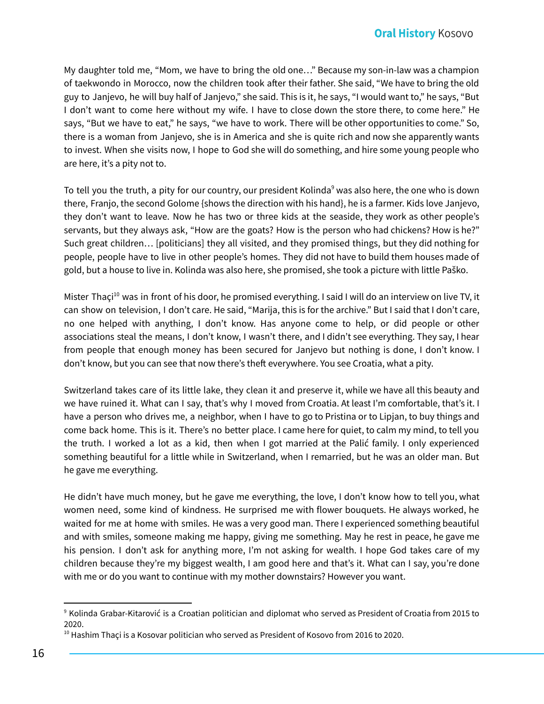My daughter told me, "Mom, we have to bring the old one…" Because my son-in-law was a champion of taekwondo in Morocco, now the children took after their father. She said, "We have to bring the old guy to Janjevo, he will buy half of Janjevo," she said. This is it, he says, "I would want to," he says, "But I don't want to come here without my wife. I have to close down the store there, to come here." He says, "But we have to eat," he says, "we have to work. There will be other opportunities to come." So, there is a woman from Janjevo, she is in America and she is quite rich and now she apparently wants to invest. When she visits now, I hope to God she will do something, and hire some young people who are here, it's a pity not to.

To tell you the truth, a pity for our country, our president Kolinda $9$  was also here, the one who is down there, Franjo, the second Golome {shows the direction with his hand}, he is a farmer. Kids love Janjevo, they don't want to leave. Now he has two or three kids at the seaside, they work as other people's servants, but they always ask, "How are the goats? How is the person who had chickens? How is he?" Such great children… [politicians] they all visited, and they promised things, but they did nothing for people, people have to live in other people's homes. They did not have to build them houses made of gold, but a house to live in. Kolinda was also here, she promised, she took a picture with little Paško.

Mister Thaçi<sup>10</sup> was in front of his door, he promised everything. I said I will do an interview on live TV, it can show on television, I don't care. He said, "Marija, this is for the archive." But I said that I don't care, no one helped with anything, I don't know. Has anyone come to help, or did people or other associations steal the means, I don't know, I wasn't there, and I didn't see everything. They say, I hear from people that enough money has been secured for Janjevo but nothing is done, I don't know. I don't know, but you can see that now there's theft everywhere. You see Croatia, what a pity.

Switzerland takes care of its little lake, they clean it and preserve it, while we have all this beauty and we have ruined it. What can I say, that's why I moved from Croatia. At least I'm comfortable, that's it. I have a person who drives me, a neighbor, when I have to go to Pristina or to Lipjan, to buy things and come back home. This is it. There's no better place. I came here for quiet, to calm my mind, to tell you the truth. I worked a lot as a kid, then when I got married at the Palić family. I only experienced something beautiful for a little while in Switzerland, when I remarried, but he was an older man. But he gave me everything.

He didn't have much money, but he gave me everything, the love, I don't know how to tell you, what women need, some kind of kindness. He surprised me with flower bouquets. He always worked, he waited for me at home with smiles. He was a very good man. There I experienced something beautiful and with smiles, someone making me happy, giving me something. May he rest in peace, he gave me his pension. I don't ask for anything more, I'm not asking for wealth. I hope God takes care of my children because they're my biggest wealth, I am good here and that's it. What can I say, you're done with me or do you want to continue with my mother downstairs? However you want.

<sup>9</sup> Kolinda Grabar-Kitarović is a Croatian politician and diplomat who served as President of Croatia from 2015 to 2020.

 $10$  Hashim Thaçi is a Kosovar politician who served as President of Kosovo from 2016 to 2020.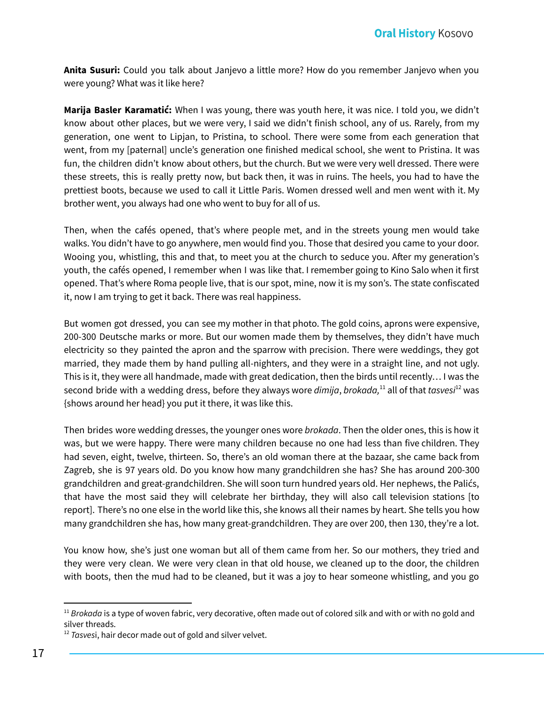**Anita Susuri:** Could you talk about Janjevo a little more? How do you remember Janjevo when you were young? What was it like here?

**Marija Basler Karamatić:** When I was young, there was youth here, it was nice. I told you, we didn't know about other places, but we were very, I said we didn't finish school, any of us. Rarely, from my generation, one went to Lipjan, to Pristina, to school. There were some from each generation that went, from my [paternal] uncle's generation one finished medical school, she went to Pristina. It was fun, the children didn't know about others, but the church. But we were very well dressed. There were these streets, this is really pretty now, but back then, it was in ruins. The heels, you had to have the prettiest boots, because we used to call it Little Paris. Women dressed well and men went with it. My brother went, you always had one who went to buy for all of us.

Then, when the cafés opened, that's where people met, and in the streets young men would take walks. You didn't have to go anywhere, men would find you. Those that desired you came to your door. Wooing you, whistling, this and that, to meet you at the church to seduce you. After my generation's youth, the cafés opened, I remember when I was like that. I remember going to Kino Salo when it first opened. That's where Roma people live, that is our spot, mine, now it is my son's. The state confiscated it, now I am trying to get it back. There was real happiness.

But women got dressed, you can see my mother in that photo. The gold coins, aprons were expensive, 200-300 Deutsche marks or more. But our women made them by themselves, they didn't have much electricity so they painted the apron and the sparrow with precision. There were weddings, they got married, they made them by hand pulling all-nighters, and they were in a straight line, and not ugly. This is it, they were all handmade, made with great dedication, then the birds until recently… I was the second bride with a wedding dress, before they always wore *dimija, brokada,* 11 all of that *tasvesi* 12 was {shows around her head} you put it there, it was like this.

Then brides wore wedding dresses, the younger ones wore *brokada*. Then the older ones, this is how it was, but we were happy. There were many children because no one had less than five children. They had seven, eight, twelve, thirteen. So, there's an old woman there at the bazaar, she came back from Zagreb, she is 97 years old. Do you know how many grandchildren she has? She has around 200-300 grandchildren and great-grandchildren. She will soon turn hundred years old. Her nephews, the Palićs, that have the most said they will celebrate her birthday, they will also call television stations [to report]. There's no one else in the world like this, she knows all their names by heart. She tells you how many grandchildren she has, how many great-grandchildren. They are over 200, then 130, they're a lot.

You know how, she's just one woman but all of them came from her. So our mothers, they tried and they were very clean. We were very clean in that old house, we cleaned up to the door, the children with boots, then the mud had to be cleaned, but it was a joy to hear someone whistling, and you go

<sup>&</sup>lt;sup>11</sup> Brokada is a type of woven fabric, very decorative, often made out of colored silk and with or with no gold and silver threads.

<sup>&</sup>lt;sup>12</sup> *Tasvesi*, hair decor made out of gold and silver velvet.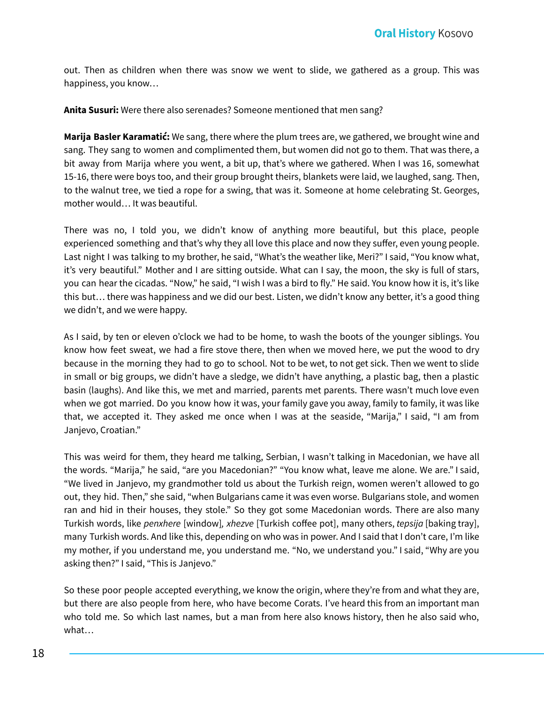out. Then as children when there was snow we went to slide, we gathered as a group. This was happiness, you know…

**Anita Susuri:** Were there also serenades? Someone mentioned that men sang?

**Marija Basler Karamatić:** We sang, there where the plum trees are, we gathered, we brought wine and sang. They sang to women and complimented them, but women did not go to them. That was there, a bit away from Marija where you went, a bit up, that's where we gathered. When I was 16, somewhat 15-16, there were boys too, and their group brought theirs, blankets were laid, we laughed, sang. Then, to the walnut tree, we tied a rope for a swing, that was it. Someone at home celebrating St. Georges, mother would… It was beautiful.

There was no, I told you, we didn't know of anything more beautiful, but this place, people experienced something and that's why they all love this place and now they suffer, even young people. Last night I was talking to my brother, he said, "What's the weather like, Meri?" I said, "You know what, it's very beautiful." Mother and I are sitting outside. What can I say, the moon, the sky is full of stars, you can hear the cicadas. "Now," he said, "I wish I was a bird to fly." He said. You know how it is, it's like this but… there was happiness and we did our best. Listen, we didn't know any better, it's a good thing we didn't, and we were happy.

As I said, by ten or eleven o'clock we had to be home, to wash the boots of the younger siblings. You know how feet sweat, we had a fire stove there, then when we moved here, we put the wood to dry because in the morning they had to go to school. Not to be wet, to not get sick. Then we went to slide in small or big groups, we didn't have a sledge, we didn't have anything, a plastic bag, then a plastic basin (laughs). And like this, we met and married, parents met parents. There wasn't much love even when we got married. Do you know how it was, your family gave you away, family to family, it was like that, we accepted it. They asked me once when I was at the seaside, "Marija," I said, "I am from Janjevo, Croatian."

This was weird for them, they heard me talking, Serbian, I wasn't talking in Macedonian, we have all the words. "Marija," he said, "are you Macedonian?" "You know what, leave me alone. We are." I said, "We lived in Janjevo, my grandmother told us about the Turkish reign, women weren't allowed to go out, they hid. Then," she said, "when Bulgarians came it was even worse. Bulgarians stole, and women ran and hid in their houses, they stole." So they got some Macedonian words. There are also many Turkish words, like *penxhere* [window]*, xhezve* [Turkish coffee pot], many others, *tepsija* [baking tray], many Turkish words. And like this, depending on who was in power. And I said that I don't care, I'm like my mother, if you understand me, you understand me. "No, we understand you." I said, "Why are you asking then?" I said, "This is Janjevo."

So these poor people accepted everything, we know the origin, where they're from and what they are, but there are also people from here, who have become Corats. I've heard this from an important man who told me. So which last names, but a man from here also knows history, then he also said who, what…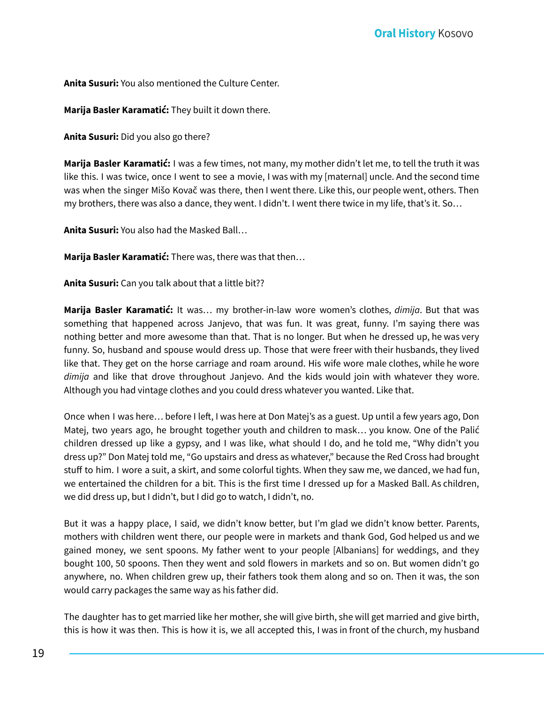**Anita Susuri:** You also mentioned the Culture Center.

**Marija Basler Karamatić:** They built it down there.

**Anita Susuri:** Did you also go there?

**Marija Basler Karamatić:** I was a few times, not many, my mother didn't let me, to tell the truth it was like this. I was twice, once I went to see a movie, I was with my [maternal] uncle. And the second time was when the singer Mišo Kovač was there, then I went there. Like this, our people went, others. Then my brothers, there was also a dance, they went. I didn't. I went there twice in my life, that's it. So…

**Anita Susuri:** You also had the Masked Ball…

**Marija Basler Karamatić:** There was, there was that then…

**Anita Susuri:** Can you talk about that a little bit??

**Marija Basler Karamatić:** It was… my brother-in-law wore women's clothes, *dimija*. But that was something that happened across Janjevo, that was fun. It was great, funny. I'm saying there was nothing better and more awesome than that. That is no longer. But when he dressed up, he was very funny. So, husband and spouse would dress up. Those that were freer with their husbands, they lived like that. They get on the horse carriage and roam around. His wife wore male clothes, while he wore *dimija* and like that drove throughout Janjevo. And the kids would join with whatever they wore. Although you had vintage clothes and you could dress whatever you wanted. Like that.

Once when I was here… before I left, I was here at Don Matej's as a guest. Up until a few years ago, Don Matej, two years ago, he brought together youth and children to mask… you know. One of the Palić children dressed up like a gypsy, and I was like, what should I do, and he told me, "Why didn't you dress up?" Don Matej told me, "Go upstairs and dress as whatever," because the Red Cross had brought stuff to him. I wore a suit, a skirt, and some colorful tights. When they saw me, we danced, we had fun, we entertained the children for a bit. This is the first time I dressed up for a Masked Ball. As children, we did dress up, but I didn't, but I did go to watch, I didn't, no.

But it was a happy place, I said, we didn't know better, but I'm glad we didn't know better. Parents, mothers with children went there, our people were in markets and thank God, God helped us and we gained money, we sent spoons. My father went to your people [Albanians] for weddings, and they bought 100, 50 spoons. Then they went and sold flowers in markets and so on. But women didn't go anywhere, no. When children grew up, their fathers took them along and so on. Then it was, the son would carry packages the same way as his father did.

The daughter has to get married like her mother, she will give birth, she will get married and give birth, this is how it was then. This is how it is, we all accepted this, I was in front of the church, my husband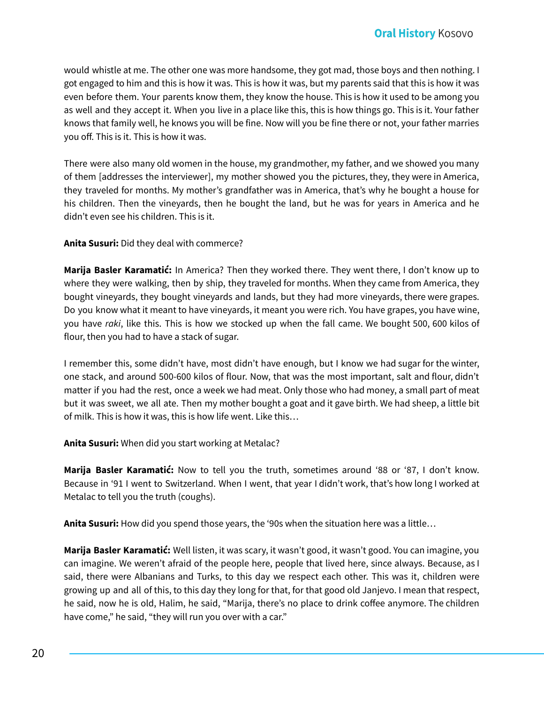would whistle at me. The other one was more handsome, they got mad, those boys and then nothing. I got engaged to him and this is how it was. This is how it was, but my parents said that this is how it was even before them. Your parents know them, they know the house. This is how it used to be among you as well and they accept it. When you live in a place like this, this is how things go. This is it. Your father knows that family well, he knows you will be fine. Now will you be fine there or not, your father marries you off. This is it. This is how it was.

There were also many old women in the house, my grandmother, my father, and we showed you many of them [addresses the interviewer], my mother showed you the pictures, they, they were in America, they traveled for months. My mother's grandfather was in America, that's why he bought a house for his children. Then the vineyards, then he bought the land, but he was for years in America and he didn't even see his children. This is it.

## **Anita Susuri:** Did they deal with commerce?

**Marija Basler Karamatić:** In America? Then they worked there. They went there, I don't know up to where they were walking, then by ship, they traveled for months. When they came from America, they bought vineyards, they bought vineyards and lands, but they had more vineyards, there were grapes. Do you know what it meant to have vineyards, it meant you were rich. You have grapes, you have wine, you have *raki*, like this. This is how we stocked up when the fall came. We bought 500, 600 kilos of flour, then you had to have a stack of sugar.

I remember this, some didn't have, most didn't have enough, but I know we had sugar for the winter, one stack, and around 500-600 kilos of flour. Now, that was the most important, salt and flour, didn't matter if you had the rest, once a week we had meat. Only those who had money, a small part of meat but it was sweet, we all ate. Then my mother bought a goat and it gave birth. We had sheep, a little bit of milk. This is how it was, this is how life went. Like this…

#### **Anita Susuri:** When did you start working at Metalac?

**Marija Basler Karamatić:** Now to tell you the truth, sometimes around '88 or '87, I don't know. Because in '91 I went to Switzerland. When I went, that year I didn't work, that's how long I worked at Metalac to tell you the truth (coughs).

**Anita Susuri:** How did you spend those years, the '90s when the situation here was a little…

**Marija Basler Karamatić:** Well listen, it was scary, it wasn't good, it wasn't good. You can imagine, you can imagine. We weren't afraid of the people here, people that lived here, since always. Because, as I said, there were Albanians and Turks, to this day we respect each other. This was it, children were growing up and all of this, to this day they long for that, for that good old Janjevo. I mean that respect, he said, now he is old, Halim, he said, "Marija, there's no place to drink coffee anymore. The children have come," he said, "they will run you over with a car."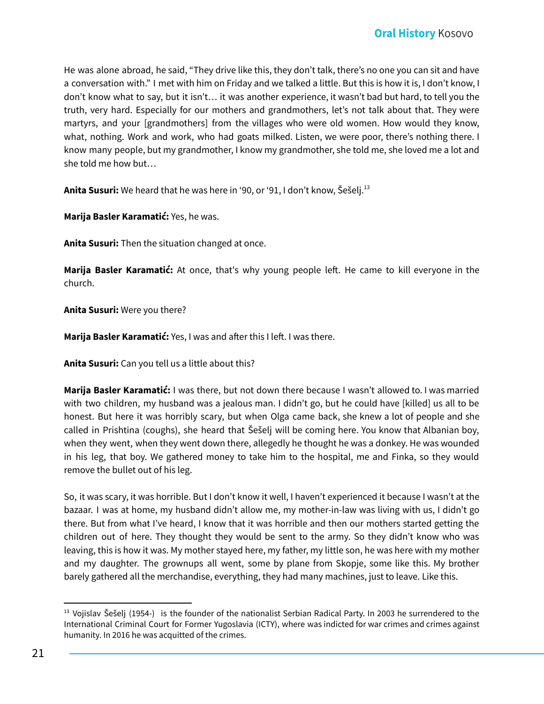He was alone abroad, he said, "They drive like this, they don't talk, there's no one you can sit and have a conversation with." I met with him on Friday and we talked a little. But this is how it is, I don't know, I don't know what to say, but it isn't… it was another experience, it wasn't bad but hard, to tell you the truth, very hard. Especially for our mothers and grandmothers, let's not talk about that. They were martyrs, and your [grandmothers] from the villages who were old women. How would they know, what, nothing. Work and work, who had goats milked. Listen, we were poor, there's nothing there. I know many people, but my grandmother, I know my grandmother, she told me, she loved me a lot and she told me how but…

**Anita Susuri:** We heard that he was here in '90, or '91, I don't know, Šešelj. 13

**Marija Basler Karamatić:** Yes, he was.

**Anita Susuri:** Then the situation changed at once.

**Marija Basler Karamatić:** At once, that's why young people left. He came to kill everyone in the church.

**Anita Susuri:** Were you there?

**Marija Basler Karamatić:** Yes, I was and after this I left. I was there.

**Anita Susuri:** Can you tell us a little about this?

**Marija Basler Karamatić:** I was there, but not down there because I wasn't allowed to. I was married with two children, my husband was a jealous man. I didn't go, but he could have [killed] us all to be honest. But here it was horribly scary, but when Olga came back, she knew a lot of people and she called in Prishtina (coughs), she heard that Šešelj will be coming here. You know that Albanian boy, when they went, when they went down there, allegedly he thought he was a donkey. He was wounded in his leg, that boy. We gathered money to take him to the hospital, me and Finka, so they would remove the bullet out of his leg.

So, it was scary, it was horrible. But I don't know it well, I haven't experienced it because I wasn't at the bazaar. I was at home, my husband didn't allow me, my mother-in-law was living with us, I didn't go there. But from what I've heard, I know that it was horrible and then our mothers started getting the children out of here. They thought they would be sent to the army. So they didn't know who was leaving, this is how it was. My mother stayed here, my father, my little son, he was here with my mother and my daughter. The grownups all went, some by plane from Skopje, some like this. My brother barely gathered all the merchandise, everything, they had many machines, just to leave. Like this.

 $13$  Vojislav Šešelj (1954-) is the founder of the nationalist Serbian Radical Party. In 2003 he surrendered to the International Criminal Court for Former Yugoslavia (ICTY), where was indicted for war crimes and crimes against humanity. In 2016 he was acquitted of the crimes.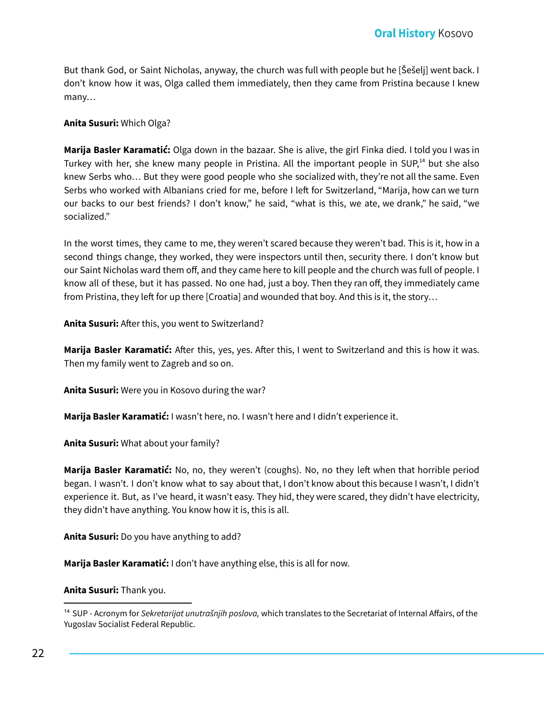But thank God, or Saint Nicholas, anyway, the church was full with people but he [Šešelj] went back. I don't know how it was, Olga called them immediately, then they came from Pristina because I knew many…

**Anita Susuri:** Which Olga?

**Marija Basler Karamatić:** Olga down in the bazaar. She is alive, the girl Finka died. I told you I was in Turkey with her, she knew many people in Pristina. All the important people in SUP,<sup>14</sup> but she also knew Serbs who… But they were good people who she socialized with, they're not all the same. Even Serbs who worked with Albanians cried for me, before I left for Switzerland, "Marija, how can we turn our backs to our best friends? I don't know," he said, "what is this, we ate, we drank," he said, "we socialized."

In the worst times, they came to me, they weren't scared because they weren't bad. This is it, how in a second things change, they worked, they were inspectors until then, security there. I don't know but our Saint Nicholas ward them off, and they came here to kill people and the church was full of people. I know all of these, but it has passed. No one had, just a boy. Then they ran off, they immediately came from Pristina, they left for up there [Croatia] and wounded that boy. And this is it, the story...

**Anita Susuri:** After this, you went to Switzerland?

**Marija Basler Karamatić:** After this, yes, yes. After this, I went to Switzerland and this is how it was. Then my family went to Zagreb and so on.

**Anita Susuri:** Were you in Kosovo during the war?

**Marija Basler Karamatić:** I wasn't here, no. I wasn't here and I didn't experience it.

**Anita Susuri:** What about your family?

**Marija Basler Karamatić:** No, no, they weren't (coughs). No, no they left when that horrible period began. I wasn't. I don't know what to say about that, I don't know about this because I wasn't, I didn't experience it. But, as I've heard, it wasn't easy. They hid, they were scared, they didn't have electricity, they didn't have anything. You know how it is, this is all.

**Anita Susuri:** Do you have anything to add?

**Marija Basler Karamatić:** I don't have anything else, this is all for now.

**Anita Susuri:** Thank you.

<sup>14</sup> SUP - Acronym for *Sekretarijat unutrašnjih poslova,* which translates to the Secretariat of Internal Affairs, of the Yugoslav Socialist Federal Republic.